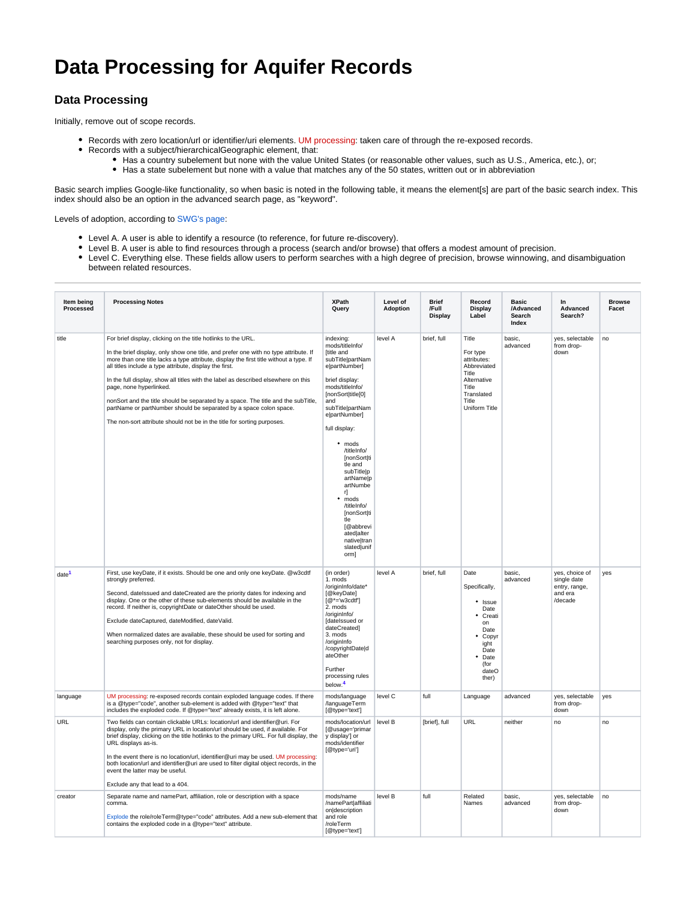# **Data Processing for Aquifer Records**

# **Data Processing**

Initially, remove out of scope records.

- Records with zero location/url or identifier/uri elements. UM processing: taken care of through the re-exposed records.
- Records with a subject/hierarchicalGeographic element, that:
	- Has a country subelement but none with the value United States (or reasonable other values, such as U.S., America, etc.), or;
		- Has a state subelement but none with a value that matches any of the 50 states, written out or in abbreviation

Basic search implies Google-like functionality, so when basic is noted in the following table, it means the element[s] are part of the basic search index. This index should also be an option in the advanced search page, as "keyword".

Levels of adoption, according to [SWG's page:](http://wiki.dlib.indiana.edu/confluence/display/DLFAquiferServ/Service-Oriented+Levels+of+Metadata+Adoption)

- Level A. A user is able to identify a resource (to reference, for future re-discovery).
- Level B. A user is able to find resources through a process (search and/or browse) that offers a modest amount of precision.
- Level C. Everything else. These fields allow users to perform searches with a high degree of precision, browse winnowing, and disambiguation between related resources.

| Item being<br>Processed | <b>Processing Notes</b>                                                                                                                                                                                                                                                                                                                                                                                                                                                                                                                                                                                                                                           | <b>XPath</b><br>Query                                                                                                                                                                                                                                                                                                                                                                                                           | Level of<br><b>Adoption</b> | <b>Brief</b><br>/Full<br>Display | Record<br>Display<br>Label                                                                                                      | <b>Basic</b><br>/Advanced<br>Search<br>Index | In<br>Advanced<br>Search?                                            | <b>Browse</b><br>Facet |
|-------------------------|-------------------------------------------------------------------------------------------------------------------------------------------------------------------------------------------------------------------------------------------------------------------------------------------------------------------------------------------------------------------------------------------------------------------------------------------------------------------------------------------------------------------------------------------------------------------------------------------------------------------------------------------------------------------|---------------------------------------------------------------------------------------------------------------------------------------------------------------------------------------------------------------------------------------------------------------------------------------------------------------------------------------------------------------------------------------------------------------------------------|-----------------------------|----------------------------------|---------------------------------------------------------------------------------------------------------------------------------|----------------------------------------------|----------------------------------------------------------------------|------------------------|
| title                   | For brief display, clicking on the title hotlinks to the URL.<br>In the brief display, only show one title, and prefer one with no type attribute. If<br>more than one title lacks a type attribute, display the first title without a type. If<br>all titles include a type attribute, display the first.<br>In the full display, show all titles with the label as described elsewhere on this<br>page, none hyperlinked.<br>nonSort and the title should be separated by a space. The title and the subTitle.<br>partName or partNumber should be separated by a space colon space.<br>The non-sort attribute should not be in the title for sorting purposes. | indexing:<br>mods/titleInfo/<br>[title and<br>subTitle partNam<br>elpartNumber]<br>brief display:<br>mods/titleInfo/<br>[nonSort title[0]<br>and<br>subTitle partNam<br>e partNumber]<br>full display:<br>$•$ mods<br>/titleInfo/<br><b>InonSortIti</b><br>tle and<br>subTitle p<br>artName p<br>artNumbe<br>r]<br>• mods<br>/titleInfo/<br>[nonSort ti<br>tle<br>[@abbrevi<br>ated alter<br>native tran<br>slated unif<br>orm] | level A                     | brief, full                      | Title<br>For type<br>attributes:<br>Abbreviated<br>Title<br>Alternative<br>Title<br>Translated<br>Title<br>Uniform Title        | basic,<br>advanced                           | yes, selectable<br>from drop-<br>down                                | no                     |
| date <sup>1</sup>       | First, use keyDate, if it exists. Should be one and only one keyDate. @w3cdtf<br>strongly preferred.<br>Second, datelssued and dateCreated are the priority dates for indexing and<br>display. One or the other of these sub-elements should be available in the<br>record. If neither is, copyrightDate or dateOther should be used.<br>Exclude dateCaptured, dateModified, dateValid.<br>When normalized dates are available, these should be used for sorting and<br>searching purposes only, not for display.                                                                                                                                                 | (in order)<br>1. mods<br>/originInfo/date*<br>[@keyDate]<br>$[@^*=w3cdtf']$<br>2. mods<br>/originInfo/<br>[datelssued or<br>dateCreated]<br>3. mods<br>/originInfo<br>/copyrightDate d<br>ateOther<br>Further<br>processing rules<br>below. <sup>4</sup>                                                                                                                                                                        | level A                     | brief, full                      | Date<br>Specifically,<br>• Issue<br>Date<br>Creati<br>on<br>Date<br>• Copyr<br>ight<br>Date<br>• Date<br>(for<br>dateO<br>ther) | basic,<br>advanced                           | yes, choice of<br>single date<br>entry, range,<br>and era<br>/decade | yes                    |
| language                | UM processing: re-exposed records contain exploded language codes. If there<br>is a @type="code", another sub-element is added with @type="text" that<br>includes the exploded code. If @type="text" already exists, it is left alone.                                                                                                                                                                                                                                                                                                                                                                                                                            | mods/language<br>/languageTerm<br>[@type='text']                                                                                                                                                                                                                                                                                                                                                                                | level C                     | full                             | Language                                                                                                                        | advanced                                     | yes, selectable<br>from drop-<br>down                                | yes                    |
| URL                     | Two fields can contain clickable URLs: location/url and identifier@uri. For<br>display, only the primary URL in location/url should be used, if available. For<br>brief display, clicking on the title hotlinks to the primary URL. For full display, the<br>URL displays as-is.<br>In the event there is no location/url, identifier@uri may be used. UM processing:<br>both location/url and identifier@uri are used to filter digital object records, in the<br>event the latter may be useful.<br>Exclude any that lead to a 404.                                                                                                                             | mods/location/url<br>[@usage='primar<br>y display'] or<br>mods/identifier<br>[@type='uri']                                                                                                                                                                                                                                                                                                                                      | level B                     | [brief], full                    | URL                                                                                                                             | neither                                      | no                                                                   | n <sub>0</sub>         |
| creator                 | Separate name and namePart, affiliation, role or description with a space<br>comma.<br>Explode the role/roleTerm@type="code" attributes. Add a new sub-element that<br>contains the exploded code in a @type="text" attribute.                                                                                                                                                                                                                                                                                                                                                                                                                                    | mods/name<br>/namePart affiliati<br>on description<br>and role<br>/roleTerm<br>[@type='text']                                                                                                                                                                                                                                                                                                                                   | level B                     | full                             | Related<br>Names                                                                                                                | basic,<br>advanced                           | yes, selectable<br>from drop-<br>down                                | no                     |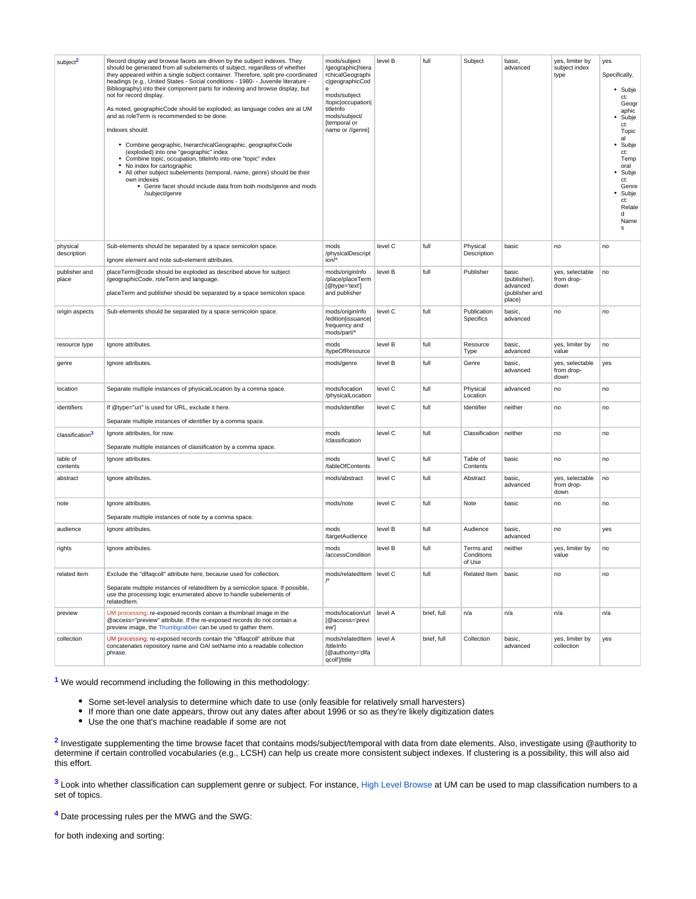| subject <sup>2</sup><br>physical | Record display and browse facets are driven by the subject indexes. They<br>should be generated from all subelements of subject, regardless of whether<br>they appeared within a single subject container. Therefore, split pre-coordinated<br>headings (e.g., United States - Social conditions - 1980- - Juvenile literature -<br>Bibliography) into their component parts for indexing and browse display, but<br>not for record display.<br>As noted, geographicCode should be exploded, as language codes are at UM<br>and as roleTerm is recommended to be done.<br>Indexes should:<br>• Combine geographic, hierarchicalGeographic, geographicCode<br>(exploded) into one "geographic" index<br>• Combine topic, occupation, titleInfo into one "topic" index<br>• No index for cartographic<br>• All other subject subelements (temporal, name, genre) should be their<br>own indexes<br>• Genre facet should include data from both mods/genre and mods<br>/subject/genre<br>Sub-elements should be separated by a space semicolon space. | mods/subject<br>/geographic/hiera<br>rchicalGeographi<br>c geographicCod<br>$\mathbf{e}$<br>mods/subject<br>/topic/occupation/<br>titleInfo<br>mods/subject/<br>[temporal or<br>name or //genre]<br>mods | level B<br>level C | full<br>full | Subject<br>Physical               | basic,<br>advanced<br>basic                                   | yes, limiter by<br>subject index<br>type<br>no | yes<br>Specifically,<br>• Subje<br>ct:<br>Geogr<br>aphic<br>Subje<br>ct:<br>Topic<br>al<br>Subje<br>ct:<br>Temp<br>oral<br>Subje<br>ct:<br>Genre<br>Subje<br>ct:<br>Relate<br>d<br>Name<br>s<br>no |
|----------------------------------|----------------------------------------------------------------------------------------------------------------------------------------------------------------------------------------------------------------------------------------------------------------------------------------------------------------------------------------------------------------------------------------------------------------------------------------------------------------------------------------------------------------------------------------------------------------------------------------------------------------------------------------------------------------------------------------------------------------------------------------------------------------------------------------------------------------------------------------------------------------------------------------------------------------------------------------------------------------------------------------------------------------------------------------------------|----------------------------------------------------------------------------------------------------------------------------------------------------------------------------------------------------------|--------------------|--------------|-----------------------------------|---------------------------------------------------------------|------------------------------------------------|----------------------------------------------------------------------------------------------------------------------------------------------------------------------------------------------------|
| description                      | Ignore element and note sub-element attributes.                                                                                                                                                                                                                                                                                                                                                                                                                                                                                                                                                                                                                                                                                                                                                                                                                                                                                                                                                                                                    | /physicalDescript<br>$ion/*$                                                                                                                                                                             |                    |              | Description                       |                                                               |                                                |                                                                                                                                                                                                    |
| publisher and<br>place           | placeTerm@code should be exploded as described above for subject<br>/geographicCode, roleTerm and language.<br>placeTerm and publisher should be separated by a space semicolon space.                                                                                                                                                                                                                                                                                                                                                                                                                                                                                                                                                                                                                                                                                                                                                                                                                                                             | mods/originInfo<br>/place/placeTerm<br>[@type='text']<br>and publisher                                                                                                                                   | level B            | full         | Publisher                         | basic<br>(publisher),<br>advanced<br>(publisher and<br>place) | yes, selectable<br>from drop-<br>down          | no                                                                                                                                                                                                 |
| origin aspects                   | Sub-elements should be separated by a space semicolon space.                                                                                                                                                                                                                                                                                                                                                                                                                                                                                                                                                                                                                                                                                                                                                                                                                                                                                                                                                                                       | mods/originInfo<br>/edition issuance <br>frequency and<br>mods/part/*                                                                                                                                    | level C            | full         | Publication<br>Specifics          | basic,<br>advanced                                            | no                                             | no                                                                                                                                                                                                 |
| resource type                    | Ignore attributes.                                                                                                                                                                                                                                                                                                                                                                                                                                                                                                                                                                                                                                                                                                                                                                                                                                                                                                                                                                                                                                 | mods<br>/typeOfResource                                                                                                                                                                                  | level B            | full         | Resource<br>Type                  | basic,<br>advanced                                            | yes, limiter by<br>value                       | no                                                                                                                                                                                                 |
| genre                            | Ignore attributes.                                                                                                                                                                                                                                                                                                                                                                                                                                                                                                                                                                                                                                                                                                                                                                                                                                                                                                                                                                                                                                 | mods/genre                                                                                                                                                                                               | level B            | full         | Genre                             | basic,<br>advanced                                            | yes, selectable<br>from drop-<br>down          | yes                                                                                                                                                                                                |
| location                         | Separate multiple instances of physicalLocation by a comma space.                                                                                                                                                                                                                                                                                                                                                                                                                                                                                                                                                                                                                                                                                                                                                                                                                                                                                                                                                                                  | mods/location<br>/physicalLocation                                                                                                                                                                       | level C            | full         | Physical<br>Location              | advanced                                                      | no                                             | no                                                                                                                                                                                                 |
| identifiers                      | If @type="uri" is used for URL, exclude it here.<br>Separate multiple instances of identifier by a comma space.                                                                                                                                                                                                                                                                                                                                                                                                                                                                                                                                                                                                                                                                                                                                                                                                                                                                                                                                    | mods/identifier                                                                                                                                                                                          | level C            | full         | Identifier                        | neither                                                       | no                                             | no                                                                                                                                                                                                 |
| classification                   | Ignore attributes, for now.<br>Separate multiple instances of classification by a comma space.                                                                                                                                                                                                                                                                                                                                                                                                                                                                                                                                                                                                                                                                                                                                                                                                                                                                                                                                                     | mods<br>/classification                                                                                                                                                                                  | level C            | full         | Classification                    | neither                                                       | no                                             | no                                                                                                                                                                                                 |
| table of<br>contents             | Ignore attributes.                                                                                                                                                                                                                                                                                                                                                                                                                                                                                                                                                                                                                                                                                                                                                                                                                                                                                                                                                                                                                                 | mods<br>/tableOfContents                                                                                                                                                                                 | level C            | full         | Table of<br>Contents              | basic                                                         | no                                             | no                                                                                                                                                                                                 |
| abstract                         | Ignore attributes.                                                                                                                                                                                                                                                                                                                                                                                                                                                                                                                                                                                                                                                                                                                                                                                                                                                                                                                                                                                                                                 | mods/abstract                                                                                                                                                                                            | level C            | full         | Abstract                          | basic,<br>advanced                                            | yes, selectable<br>from drop-<br>down          | no                                                                                                                                                                                                 |
| note                             | Ignore attributes.<br>Separate multiple instances of note by a comma space.                                                                                                                                                                                                                                                                                                                                                                                                                                                                                                                                                                                                                                                                                                                                                                                                                                                                                                                                                                        | mods/note                                                                                                                                                                                                | level C            | full         | Note                              | basic                                                         | no                                             | no                                                                                                                                                                                                 |
| audience                         | Ignore attributes.                                                                                                                                                                                                                                                                                                                                                                                                                                                                                                                                                                                                                                                                                                                                                                                                                                                                                                                                                                                                                                 | mods<br>/targetAudience                                                                                                                                                                                  | level B            | full         | Audience                          | basic,<br>advanced                                            | no                                             | yes                                                                                                                                                                                                |
| rights                           | Ignore attributes.                                                                                                                                                                                                                                                                                                                                                                                                                                                                                                                                                                                                                                                                                                                                                                                                                                                                                                                                                                                                                                 | mods<br>/accessCondition                                                                                                                                                                                 | level B            | full         | Terms and<br>Conditions<br>of Use | neither                                                       | yes, limiter by<br>value                       | no                                                                                                                                                                                                 |
| related item                     | Exclude the "difaqcoll" attribute here, because used for collection.<br>Separate multiple instances of relatedItem by a semicolon space. If possible,<br>use the processing logic enumerated above to handle subelements of<br>relatedItem.                                                                                                                                                                                                                                                                                                                                                                                                                                                                                                                                                                                                                                                                                                                                                                                                        | mods/relatedItem   level C                                                                                                                                                                               |                    | full         | Related Item                      | basic                                                         | no                                             | no                                                                                                                                                                                                 |
| preview                          | UM processing: re-exposed records contain a thumbnail image in the<br>@access="preview" attribute. If the re-exposed records do not contain a<br>preview image, the Thumbgrabber can be used to gather them.                                                                                                                                                                                                                                                                                                                                                                                                                                                                                                                                                                                                                                                                                                                                                                                                                                       | mods/location/url<br>[@access='previ<br>ew']                                                                                                                                                             | level A            | brief, full  | n/a                               | n/a                                                           | n/a                                            | n/a                                                                                                                                                                                                |
| collection                       | UM processing: re-exposed records contain the "dlfaqcoll" attribute that<br>concatenates repository name and OAI setName into a readable collection<br>phrase.                                                                                                                                                                                                                                                                                                                                                                                                                                                                                                                                                                                                                                                                                                                                                                                                                                                                                     | mods/relatedItem<br>/titleInfo<br>[@authority='dlfa<br>qcoll']/title                                                                                                                                     | level A            | brief, full  | Collection                        | basic,<br>advanced                                            | yes, limiter by<br>collection                  | yes                                                                                                                                                                                                |

**1** We would recommend including the following in this methodology:

- Some set-level analysis to determine which date to use (only feasible for relatively small harvesters)
- If more than one date appears, throw out any dates after about 1996 or so as they're likely digitization dates
- Use the one that's machine readable if some are not

<sup>2</sup> Investigate supplementing the time browse facet that contains mods/subject/temporal with data from date elements. Also, investigate using @authority to determine if certain controlled vocabularies (e.g., LCSH) can help us create more consistent subject indexes. If clustering is a possibility, this will also aid this effort.

**3** Look into whether classification can supplement genre or subject. For instance, [High Level Browse](http://www.lib.umich.edu/browse/categories/) at UM can be used to map classification numbers to a set of topics.

**4** Date processing rules per the MWG and the SWG:

for both indexing and sorting: